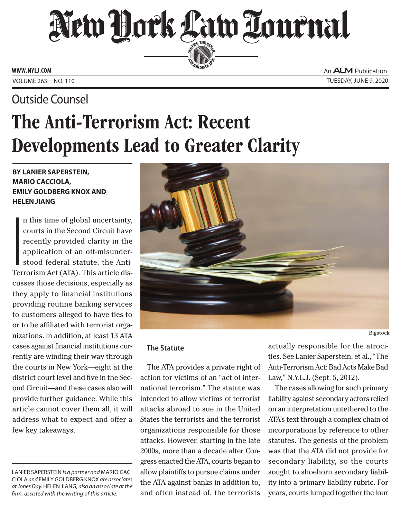## New Dock Law Tournal SERVING THE BET

**ED BAR SINCE 1888** 

**www. NYLJ.com**

Outside Counsel

An **ALM** Publication Volume 263—NO. 110 Tuesday, June 9, 2020

# The Anti-Terrorism Act: Recent Developments Lead to Greater Clarity

### **by Lanier Saperstein, Mario Cacciola, Emily Goldberg Knox and Helen Jiang**

**I**<br>I<br>Ter n this time of global uncertainty, courts in the Second Circuit have recently provided clarity in the application of an oft-misunderstood federal statute, the Anti-Terrorism Act (ATA). This article discusses those decisions, especially as they apply to financial institutions providing routine banking services to customers alleged to have ties to or to be affiliated with terrorist organizations. In addition, at least 13 ATA cases against financial institutions currently are winding their way through the courts in New York—eight at the district court level and five in the Second Circuit—and these cases also will provide further guidance. While this article cannot cover them all, it will address what to expect and offer a few key takeaways.

Lanier Saperstein *is a partner and* Mario Cacciola *and* Emily Goldberg Knox *are associates at Jones Day.* Helen Jiang*, also an associate at the firm, assisted with the writing of this article.*



#### **The Statute**

The ATA provides a private right of action for victims of an "act of international terrorism." The statute was intended to allow victims of terrorist attacks abroad to sue in the United States the terrorists and the terrorist organizations responsible for those attacks. However, starting in the late 2000s, more than a decade after Congress enacted the ATA, courts began to allow plaintiffs to pursue claims under the ATA against banks in addition to, and often instead of, the terrorists

actually responsible for the atrocities. See Lanier Saperstein, et al., "The Anti-Terrorism Act: Bad Acts Make Bad Law," N.Y.L.J. (Sept. 5, 2012).

The cases allowing for such primary liability against secondary actors relied on an interpretation untethered to the ATA's text through a complex chain of incorporations by reference to other statutes. The genesis of the problem was that the ATA did not provide for secondary liability, so the courts sought to shoehorn secondary liability into a primary liability rubric. For years, courts lumped together the four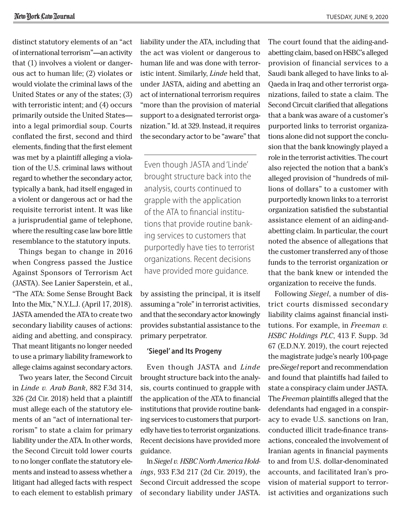distinct statutory elements of an "act of international terrorism"—an activity that (1) involves a violent or dangerous act to human life; (2) violates or would violate the criminal laws of the United States or any of the states; (3) with terroristic intent; and (4) occurs primarily outside the United States into a legal primordial soup. Courts conflated the first, second and third elements, finding that the first element was met by a plaintiff alleging a violation of the U.S. criminal laws without regard to whether the secondary actor, typically a bank, had itself engaged in a violent or dangerous act or had the requisite terrorist intent. It was like a jurisprudential game of telephone, where the resulting case law bore little resemblance to the statutory inputs.

Things began to change in 2016 when Congress passed the Justice Against Sponsors of Terrorism Act (JASTA). See Lanier Saperstein, et al., "The ATA: Some Sense Brought Back Into the Mix," N.Y.L.J. (April 17, 2018). JASTA amended the ATA to create two secondary liability causes of actions: aiding and abetting, and conspiracy. That meant litigants no longer needed to use a primary liability framework to allege claims against secondary actors.

Two years later, the Second Circuit in *Linde v. Arab Bank*, 882 F.3d 314, 326 (2d Cir. 2018) held that a plaintiff must allege each of the statutory elements of an "act of international terrorism" to state a claim for primary liability under the ATA. In other words, the Second Circuit told lower courts to no longer conflate the statutory elements and instead to assess whether a litigant had alleged facts with respect to each element to establish primary liability under the ATA, including that the act was violent or dangerous to human life and was done with terroristic intent. Similarly, *Linde* held that, under JASTA, aiding and abetting an act of international terrorism requires "more than the provision of material support to a designated terrorist organization." Id. at 329. Instead, it requires the secondary actor to be "aware" that

Even though JASTA and 'Linde' brought structure back into the analysis, courts continued to grapple with the application of the ATA to financial institutions that provide routine banking services to customers that purportedly have ties to terrorist organizations. Recent decisions have provided more guidance.

by assisting the principal, it is itself assuming a "role" in terrorist activities, and that the secondary actor knowingly provides substantial assistance to the primary perpetrator.

#### **'Siegel' and Its Progeny**

Even though JASTA and *Linde*  brought structure back into the analysis, courts continued to grapple with the application of the ATA to financial institutions that provide routine banking services to customers that purportedly have ties to terrorist organizations. Recent decisions have provided more guidance.

In *Siegel v. HSBC North America Holdings*, 933 F.3d 217 (2d Cir. 2019), the Second Circuit addressed the scope of secondary liability under JASTA.

The court found that the aiding-andabetting claim, based on HSBC's alleged provision of financial services to a Saudi bank alleged to have links to al-Qaeda in Iraq and other terrorist organizations, failed to state a claim. The Second Circuit clarified that allegations that a bank was aware of a customer's purported links to terrorist organizations alone did not support the conclusion that the bank knowingly played a role in the terrorist activities. The court also rejected the notion that a bank's alleged provision of "hundreds of millions of dollars" to a customer with purportedly known links to a terrorist organization satisfied the substantial assistance element of an aiding-andabetting claim. In particular, the court noted the absence of allegations that the customer transferred any of those funds to the terrorist organization or that the bank knew or intended the organization to receive the funds.

Following *Siegel*, a number of district courts dismissed secondary liability claims against financial institutions. For example, in *Freeman v. HSBC Holdings PLC*, 413 F. Supp. 3d 67 (E.D.N.Y. 2019), the court rejected the magistrate judge's nearly 100-page pre-*Siegel* report and recommendation and found that plaintiffs had failed to state a conspiracy claim under JASTA. The *Freeman* plaintiffs alleged that the defendants had engaged in a conspiracy to evade U.S. sanctions on Iran, conducted illicit trade-finance transactions, concealed the involvement of Iranian agents in financial payments to and from U.S. dollar-denominated accounts, and facilitated Iran's provision of material support to terrorist activities and organizations such